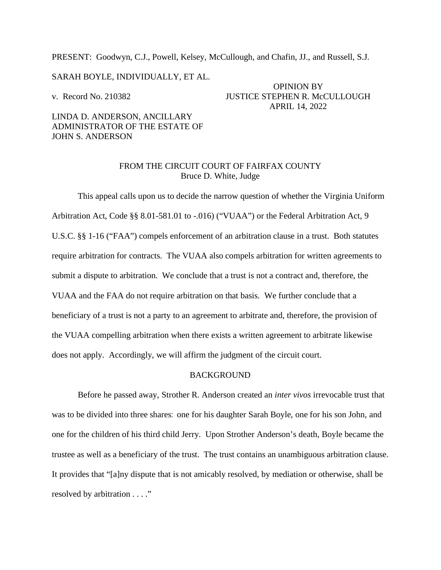PRESENT: Goodwyn, C.J., Powell, Kelsey, McCullough, and Chafin, JJ., and Russell, S.J.

SARAH BOYLE, INDIVIDUALLY, ET AL.

OPINION BY v. Record No. 210382 JUSTICE STEPHEN R. McCULLOUGH APRIL 14, 2022

# LINDA D. ANDERSON, ANCILLARY ADMINISTRATOR OF THE ESTATE OF JOHN S. ANDERSON

## FROM THE CIRCUIT COURT OF FAIRFAX COUNTY Bruce D. White, Judge

This appeal calls upon us to decide the narrow question of whether the Virginia Uniform Arbitration Act, Code §§ 8.01-581.01 to -.016) ("VUAA") or the Federal Arbitration Act, 9 U.S.C. §§ 1-16 ("FAA") compels enforcement of an arbitration clause in a trust. Both statutes require arbitration for contracts. The VUAA also compels arbitration for written agreements to submit a dispute to arbitration. We conclude that a trust is not a contract and, therefore, the VUAA and the FAA do not require arbitration on that basis. We further conclude that a beneficiary of a trust is not a party to an agreement to arbitrate and, therefore, the provision of the VUAA compelling arbitration when there exists a written agreement to arbitrate likewise does not apply. Accordingly, we will affirm the judgment of the circuit court.

### BACKGROUND

Before he passed away, Strother R. Anderson created an *inter vivos* irrevocable trust that was to be divided into three shares: one for his daughter Sarah Boyle, one for his son John, and one for the children of his third child Jerry. Upon Strother Anderson's death, Boyle became the trustee as well as a beneficiary of the trust. The trust contains an unambiguous arbitration clause. It provides that "[a]ny dispute that is not amicably resolved, by mediation or otherwise, shall be resolved by arbitration . . . ."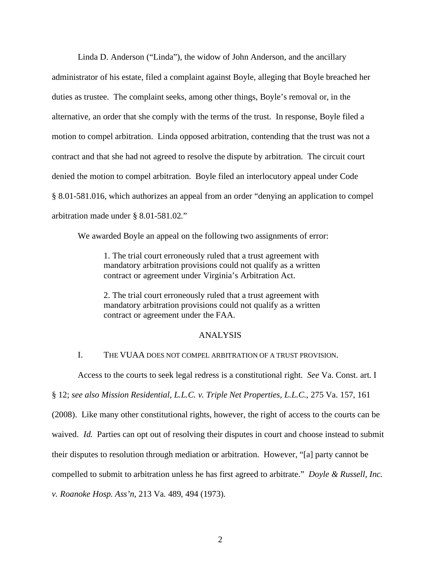Linda D. Anderson ("Linda"), the widow of John Anderson, and the ancillary administrator of his estate, filed a complaint against Boyle, alleging that Boyle breached her duties as trustee. The complaint seeks, among other things, Boyle's removal or, in the alternative, an order that she comply with the terms of the trust. In response, Boyle filed a motion to compel arbitration. Linda opposed arbitration, contending that the trust was not a contract and that she had not agreed to resolve the dispute by arbitration. The circuit court denied the motion to compel arbitration. Boyle filed an interlocutory appeal under Code § 8.01-581.016, which authorizes an appeal from an order "denying an application to compel arbitration made under § 8.01-581.02."

We awarded Boyle an appeal on the following two assignments of error:

1. The trial court erroneously ruled that a trust agreement with mandatory arbitration provisions could not qualify as a written contract or agreement under Virginia's Arbitration Act.

2. The trial court erroneously ruled that a trust agreement with mandatory arbitration provisions could not qualify as a written contract or agreement under the FAA.

#### ANALYSIS

## I. THE VUAA DOES NOT COMPEL ARBITRATION OF A TRUST PROVISION.

Access to the courts to seek legal redress is a constitutional right. *See* Va. Const. art. I

§ 12; *see also Mission Residential, L.L.C. v. Triple Net Properties, L.L.C.*, 275 Va. 157, 161

(2008). Like many other constitutional rights, however, the right of access to the courts can be

waived. *Id.* Parties can opt out of resolving their disputes in court and choose instead to submit

their disputes to resolution through mediation or arbitration. However, "[a] party cannot be

compelled to submit to arbitration unless he has first agreed to arbitrate." *Doyle & Russell, Inc.* 

*v. Roanoke Hosp. Ass'n*, 213 Va. 489, 494 (1973).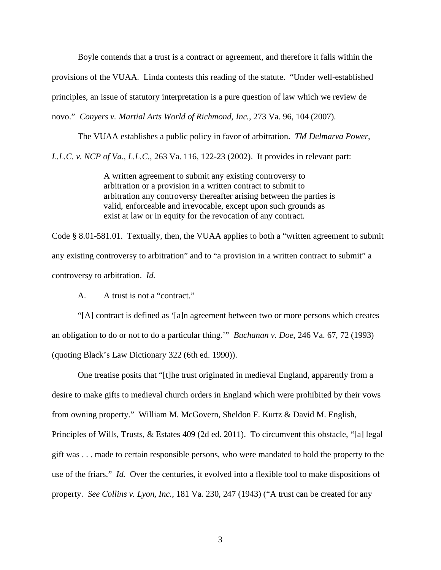Boyle contends that a trust is a contract or agreement, and therefore it falls within the provisions of the VUAA. Linda contests this reading of the statute. "Under well-established principles, an issue of statutory interpretation is a pure question of law which we review de novo." *Conyers v. Martial Arts World of Richmond, Inc.*, 273 Va. 96, 104 (2007).

The VUAA establishes a public policy in favor of arbitration. *TM Delmarva Power, L.L.C. v. NCP of Va., L.L.C.*, 263 Va. 116, 122-23 (2002). It provides in relevant part:

> A written agreement to submit any existing controversy to arbitration or a provision in a written contract to submit to arbitration any controversy thereafter arising between the parties is valid, enforceable and irrevocable, except upon such grounds as exist at law or in equity for the revocation of any contract.

Code § 8.01-581.01. Textually, then, the VUAA applies to both a "written agreement to submit any existing controversy to arbitration" and to "a provision in a written contract to submit" a controversy to arbitration. *Id.*

A. A trust is not a "contract."

"[A] contract is defined as '[a]n agreement between two or more persons which creates an obligation to do or not to do a particular thing.'" *Buchanan v. Doe*, 246 Va. 67, 72 (1993) (quoting Black's Law Dictionary 322 (6th ed. 1990)).

One treatise posits that "[t]he trust originated in medieval England, apparently from a desire to make gifts to medieval church orders in England which were prohibited by their vows from owning property." William M. McGovern, Sheldon F. Kurtz & David M. English, Principles of Wills, Trusts, & Estates 409 (2d ed. 2011). To circumvent this obstacle, "[a] legal gift was . . . made to certain responsible persons, who were mandated to hold the property to the use of the friars." *Id.* Over the centuries, it evolved into a flexible tool to make dispositions of property. *See Collins v. Lyon, Inc.*, 181 Va. 230, 247 (1943) ("A trust can be created for any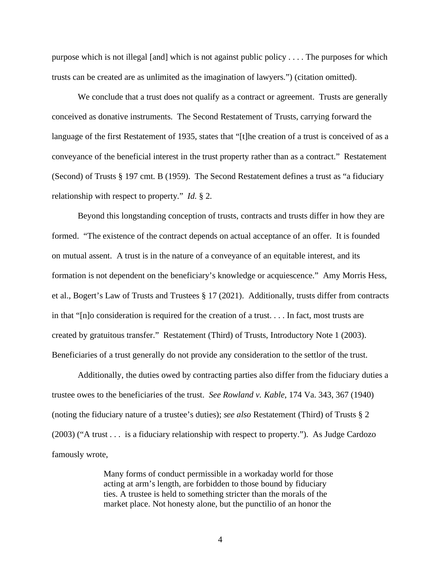purpose which is not illegal [and] which is not against public policy . . . . The purposes for which trusts can be created are as unlimited as the imagination of lawyers.") (citation omitted).

We conclude that a trust does not qualify as a contract or agreement. Trusts are generally conceived as donative instruments. The Second Restatement of Trusts, carrying forward the language of the first Restatement of 1935, states that "[t]he creation of a trust is conceived of as a conveyance of the beneficial interest in the trust property rather than as a contract." Restatement (Second) of Trusts § 197 cmt. B (1959). The Second Restatement defines a trust as "a fiduciary relationship with respect to property." *Id.* § 2.

Beyond this longstanding conception of trusts, contracts and trusts differ in how they are formed. "The existence of the contract depends on actual acceptance of an offer. It is founded on mutual assent. A trust is in the nature of a conveyance of an equitable interest, and its formation is not dependent on the beneficiary's knowledge or acquiescence." Amy Morris Hess, et al., Bogert's Law of Trusts and Trustees § 17 (2021). Additionally, trusts differ from contracts in that "[n]o consideration is required for the creation of a trust. . . . In fact, most trusts are created by gratuitous transfer." Restatement (Third) of Trusts, Introductory Note 1 (2003). Beneficiaries of a trust generally do not provide any consideration to the settlor of the trust.

Additionally, the duties owed by contracting parties also differ from the fiduciary duties a trustee owes to the beneficiaries of the trust. *See Rowland v. Kable*, 174 Va. 343, 367 (1940) (noting the fiduciary nature of a trustee's duties); *see also* Restatement (Third) of Trusts § 2 (2003) ("A trust . . . is a fiduciary relationship with respect to property."). As Judge Cardozo famously wrote,

> Many forms of conduct permissible in a workaday world for those acting at arm's length, are forbidden to those bound by fiduciary ties. A trustee is held to something stricter than the morals of the market place. Not honesty alone, but the punctilio of an honor the

> > 4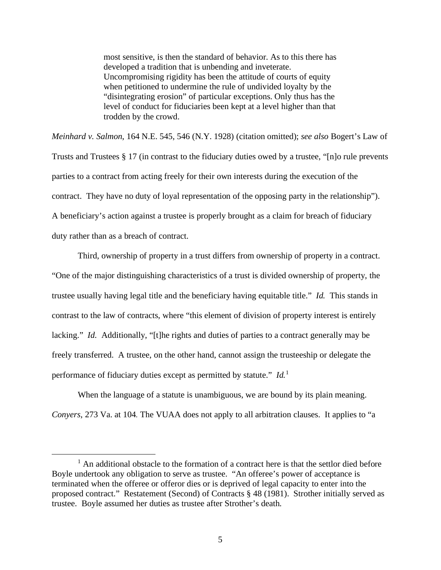most sensitive, is then the standard of behavior. As to this there has developed a tradition that is unbending and inveterate. Uncompromising rigidity has been the attitude of courts of equity when petitioned to undermine the rule of undivided loyalty by the "disintegrating erosion" of particular exceptions. Only thus has the level of conduct for fiduciaries been kept at a level higher than that trodden by the crowd.

*Meinhard v. Salmon*, 164 N.E. 545, 546 (N.Y. 1928) (citation omitted); *see also* Bogert's Law of Trusts and Trustees § 17 (in contrast to the fiduciary duties owed by a trustee, "[n]o rule prevents parties to a contract from acting freely for their own interests during the execution of the contract. They have no duty of loyal representation of the opposing party in the relationship"). A beneficiary's action against a trustee is properly brought as a claim for breach of fiduciary duty rather than as a breach of contract.

Third, ownership of property in a trust differs from ownership of property in a contract. "One of the major distinguishing characteristics of a trust is divided ownership of property, the trustee usually having legal title and the beneficiary having equitable title." *Id.* This stands in contrast to the law of contracts, where "this element of division of property interest is entirely lacking." *Id.* Additionally, "[t]he rights and duties of parties to a contract generally may be freely transferred. A trustee, on the other hand, cannot assign the trusteeship or delegate the performance of fiduciary duties except as permitted by statute." *Id.* [1](#page-4-0)

When the language of a statute is unambiguous, we are bound by its plain meaning. *Conyers*, 273 Va. at 104*.* The VUAA does not apply to all arbitration clauses. It applies to "a

<span id="page-4-0"></span><sup>&</sup>lt;sup>1</sup> An additional obstacle to the formation of a contract here is that the settlor died before Boyle undertook any obligation to serve as trustee. "An offeree's power of acceptance is terminated when the offeree or offeror dies or is deprived of legal capacity to enter into the proposed contract." Restatement (Second) of Contracts § 48 (1981). Strother initially served as trustee. Boyle assumed her duties as trustee after Strother's death.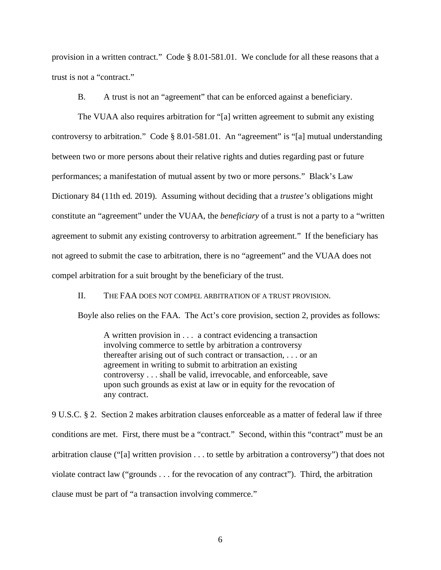provision in a written contract." Code § 8.01-581.01. We conclude for all these reasons that a trust is not a "contract."

B. A trust is not an "agreement" that can be enforced against a beneficiary.

The VUAA also requires arbitration for "[a] written agreement to submit any existing controversy to arbitration." Code § 8.01-581.01. An "agreement" is "[a] mutual understanding between two or more persons about their relative rights and duties regarding past or future performances; a manifestation of mutual assent by two or more persons." Black's Law Dictionary 84 (11th ed. 2019). Assuming without deciding that a *trustee's* obligations might constitute an "agreement" under the VUAA, the *beneficiary* of a trust is not a party to a "written agreement to submit any existing controversy to arbitration agreement." If the beneficiary has not agreed to submit the case to arbitration, there is no "agreement" and the VUAA does not compel arbitration for a suit brought by the beneficiary of the trust.

II. THE FAA DOES NOT COMPEL ARBITRATION OF A TRUST PROVISION.

Boyle also relies on the FAA. The Act's core provision, section 2, provides as follows:

A written provision in . . . a contract evidencing a transaction involving commerce to settle by arbitration a controversy thereafter arising out of such contract or transaction, . . . or an agreement in writing to submit to arbitration an existing controversy . . . shall be valid, irrevocable, and enforceable, save upon such grounds as exist at law or in equity for the revocation of any contract.

9 U.S.C. § 2. Section 2 makes arbitration clauses enforceable as a matter of federal law if three conditions are met. First, there must be a "contract." Second, within this "contract" must be an arbitration clause ("[a] written provision . . . to settle by arbitration a controversy") that does not violate contract law ("grounds . . . for the revocation of any contract"). Third, the arbitration clause must be part of "a transaction involving commerce."

6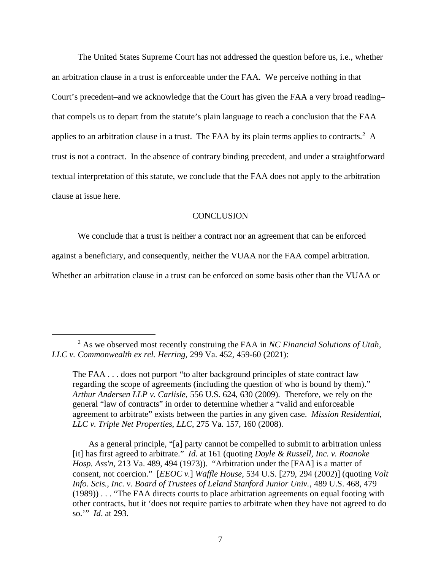The United States Supreme Court has not addressed the question before us, i.e., whether an arbitration clause in a trust is enforceable under the FAA. We perceive nothing in that Court's precedent–and we acknowledge that the Court has given the FAA a very broad reading– that compels us to depart from the statute's plain language to reach a conclusion that the FAA applies to an arbitration clause in a trust. The FAA by its plain terms applies to contracts.<sup>[2](#page-6-0)</sup> A trust is not a contract. In the absence of contrary binding precedent, and under a straightforward textual interpretation of this statute, we conclude that the FAA does not apply to the arbitration clause at issue here.

### **CONCLUSION**

We conclude that a trust is neither a contract nor an agreement that can be enforced

against a beneficiary, and consequently, neither the VUAA nor the FAA compel arbitration.

Whether an arbitration clause in a trust can be enforced on some basis other than the VUAA or

The FAA . . . does not purport "to alter background principles of state contract law regarding the scope of agreements (including the question of who is bound by them)." *Arthur Andersen LLP v. Carlisle*, 556 U.S. 624, 630 (2009). Therefore, we rely on the general "law of contracts" in order to determine whether a "valid and enforceable agreement to arbitrate" exists between the parties in any given case. *Mission Residential, LLC v. Triple Net Properties, LLC*, 275 Va. 157, 160 (2008).

 As a general principle, "[a] party cannot be compelled to submit to arbitration unless [it] has first agreed to arbitrate." *Id*. at 161 (quoting *Doyle & Russell, Inc. v. Roanoke Hosp. Ass'n*, 213 Va. 489, 494 (1973)). "Arbitration under the [FAA] is a matter of consent, not coercion." [*EEOC v.*] *Waffle House*, 534 U.S. [279, 294 (2002)] (quoting *Volt Info. Scis., Inc. v. Board of Trustees of Leland Stanford Junior Univ.*, 489 U.S. 468, 479 (1989)) . . . "The FAA directs courts to place arbitration agreements on equal footing with other contracts, but it 'does not require parties to arbitrate when they have not agreed to do so.'" *Id*. at 293.

<span id="page-6-0"></span><sup>2</sup> As we observed most recently construing the FAA in *NC Financial Solutions of Utah, LLC v. Commonwealth ex rel. Herring*, 299 Va. 452, 459-60 (2021):